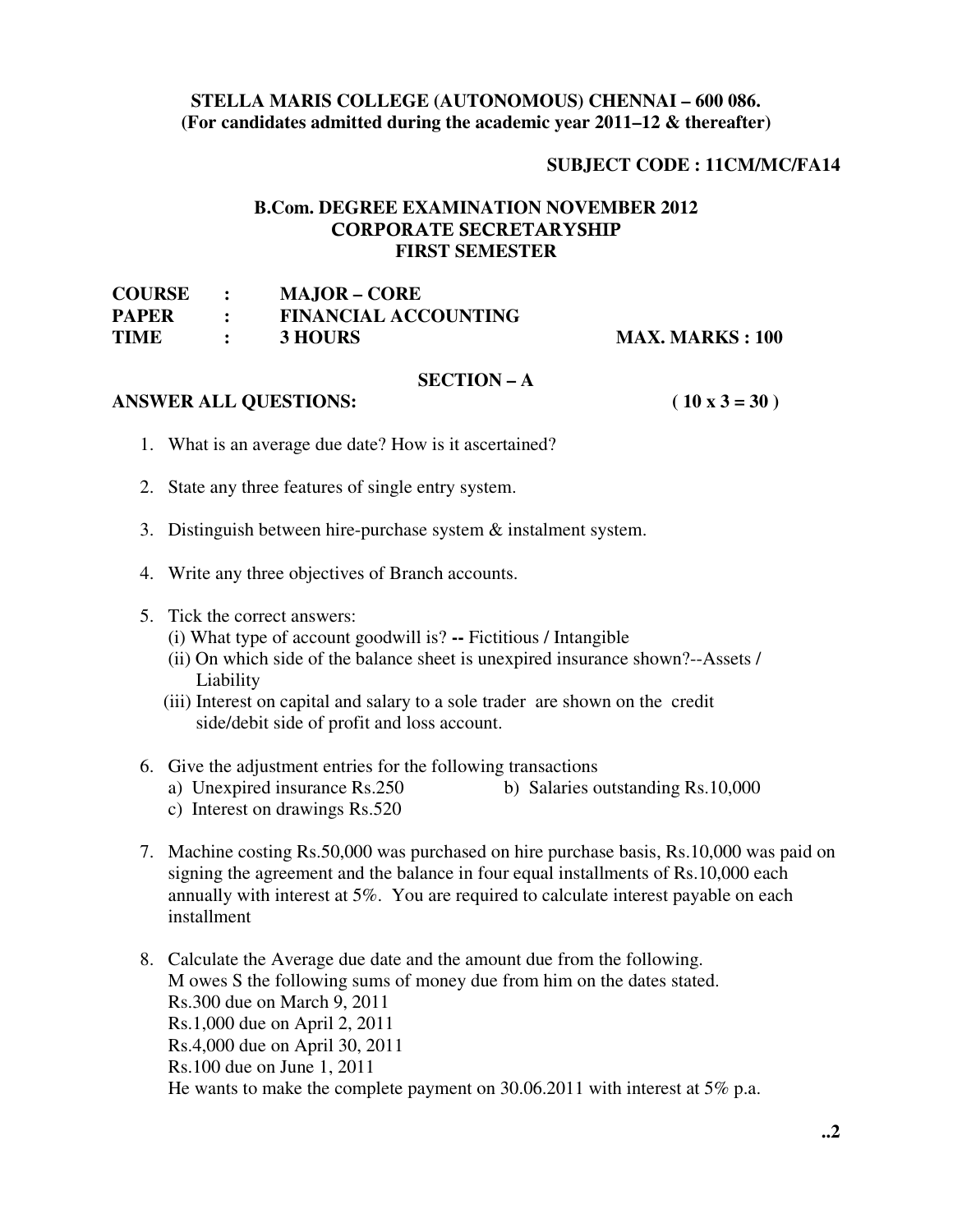# **STELLA MARIS COLLEGE (AUTONOMOUS) CHENNAI – 600 086. (For candidates admitted during the academic year 2011–12 & thereafter)**

# **SUBJECT CODE : 11CM/MC/FA14**

# **B.Com. DEGREE EXAMINATION NOVEMBER 2012 CORPORATE SECRETARYSHIP FIRST SEMESTER**

| <b>COURSE</b> | <b>MAJOR – CORE</b>         |                         |
|---------------|-----------------------------|-------------------------|
| <b>PAPER</b>  | <b>FINANCIAL ACCOUNTING</b> |                         |
| TIME          | 3 HOURS                     | <b>MAX. MARKS : 100</b> |

### **SECTION – A**

# **ANSWER ALL QUESTIONS: ( 10 x 3 = 30 )**

- 1. What is an average due date? How is it ascertained?
- 2. State any three features of single entry system.
- 3. Distinguish between hire-purchase system  $\&$  instalment system.
- 4. Write any three objectives of Branch accounts.
- 5. Tick the correct answers:
	- (i) What type of account goodwill is? **--** Fictitious / Intangible
	- (ii) On which side of the balance sheet is unexpired insurance shown?--Assets / Liability
	- (iii) Interest on capital and salary to a sole trader are shown on the credit side/debit side of profit and loss account.

# 6. Give the adjustment entries for the following transactions

- a) Unexpired insurance Rs.250 b) Salaries outstanding Rs.10,000
- c) Interest on drawings Rs.520
- 7. Machine costing Rs.50,000 was purchased on hire purchase basis, Rs.10,000 was paid on signing the agreement and the balance in four equal installments of Rs.10,000 each annually with interest at 5%. You are required to calculate interest payable on each installment
- 8. Calculate the Average due date and the amount due from the following. M owes S the following sums of money due from him on the dates stated. Rs.300 due on March 9, 2011 Rs.1,000 due on April 2, 2011 Rs.4,000 due on April 30, 2011 Rs.100 due on June 1, 2011 He wants to make the complete payment on 30.06.2011 with interest at 5% p.a.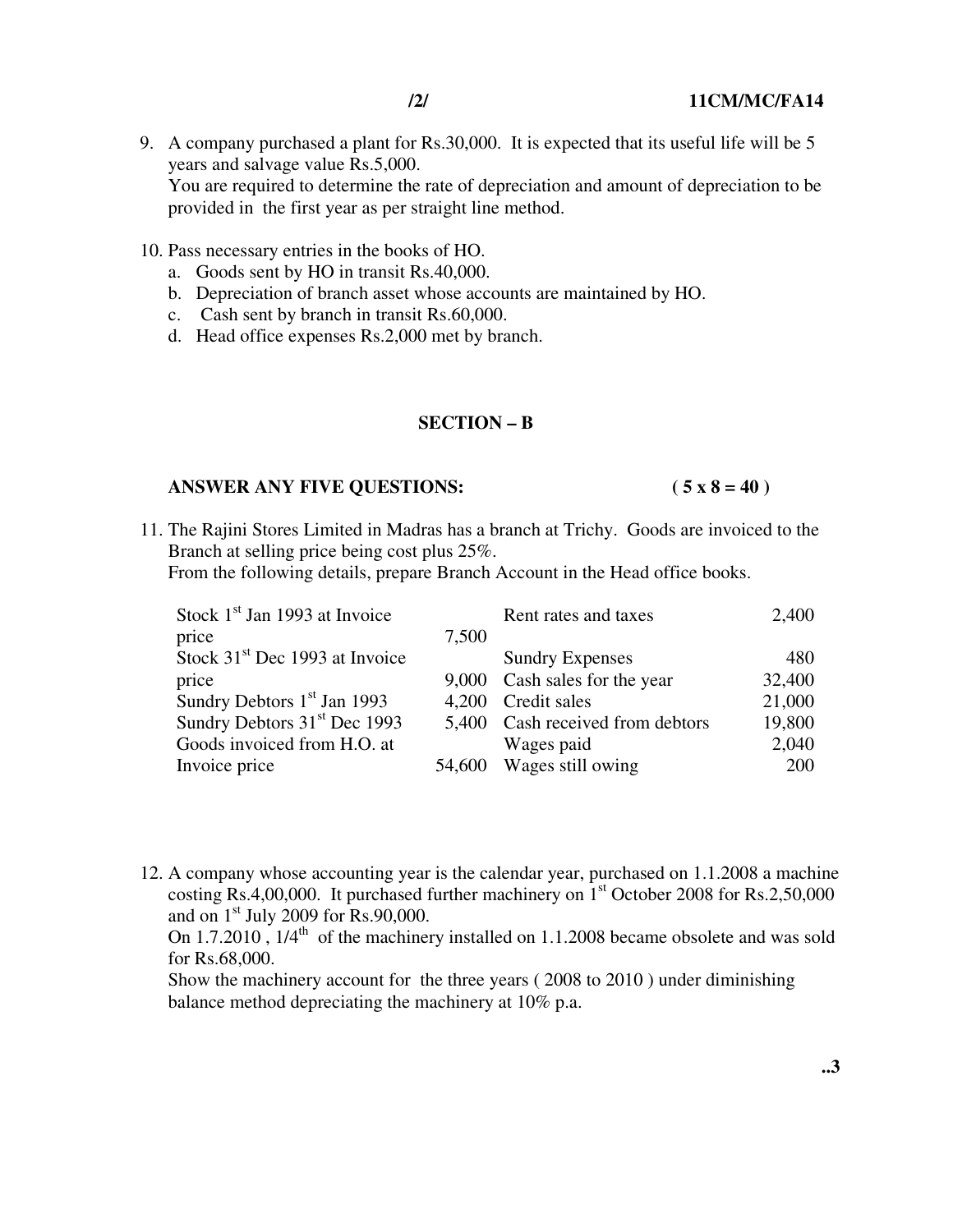9. A company purchased a plant for Rs.30,000. It is expected that its useful life will be 5 years and salvage value Rs.5,000. You are required to determine the rate of depreciation and amount of depreciation to be provided in the first year as per straight line method.

#### 10. Pass necessary entries in the books of HO.

- a. Goods sent by HO in transit Rs.40,000.
- b. Depreciation of branch asset whose accounts are maintained by HO.
- c. Cash sent by branch in transit Rs.60,000.
- d. Head office expenses Rs.2,000 met by branch.

## **SECTION – B**

## ANSWER ANY FIVE QUESTIONS: (5 x 8 = 40)

11. The Rajini Stores Limited in Madras has a branch at Trichy. Goods are invoiced to the Branch at selling price being cost plus 25%.

From the following details, prepare Branch Account in the Head office books.

| Stock $1st$ Jan 1993 at Invoice            |       | Rent rates and taxes             | 2,400  |
|--------------------------------------------|-------|----------------------------------|--------|
| price                                      | 7,500 |                                  |        |
| Stock 31 <sup>st</sup> Dec 1993 at Invoice |       | <b>Sundry Expenses</b>           | 480    |
| price                                      | 9,000 | Cash sales for the year          | 32,400 |
| Sundry Debtors $1st$ Jan 1993              | 4.200 | Credit sales                     | 21,000 |
| Sundry Debtors 31 <sup>st</sup> Dec 1993   |       | 5,400 Cash received from debtors | 19,800 |
| Goods invoiced from H.O. at                |       | Wages paid                       | 2,040  |
| Invoice price                              |       | 54,600 Wages still owing         | 200    |

12. A company whose accounting year is the calendar year, purchased on 1.1.2008 a machine costing Rs.4,00,000. It purchased further machinery on  $1<sup>st</sup>$  October 2008 for Rs.2,50,000 and on 1st July 2009 for Rs.90,000.

On  $1.7.2010$ ,  $1/4<sup>th</sup>$  of the machinery installed on 1.1.2008 became obsolete and was sold for Rs.68,000.

Show the machinery account for the three years ( 2008 to 2010 ) under diminishing balance method depreciating the machinery at 10% p.a.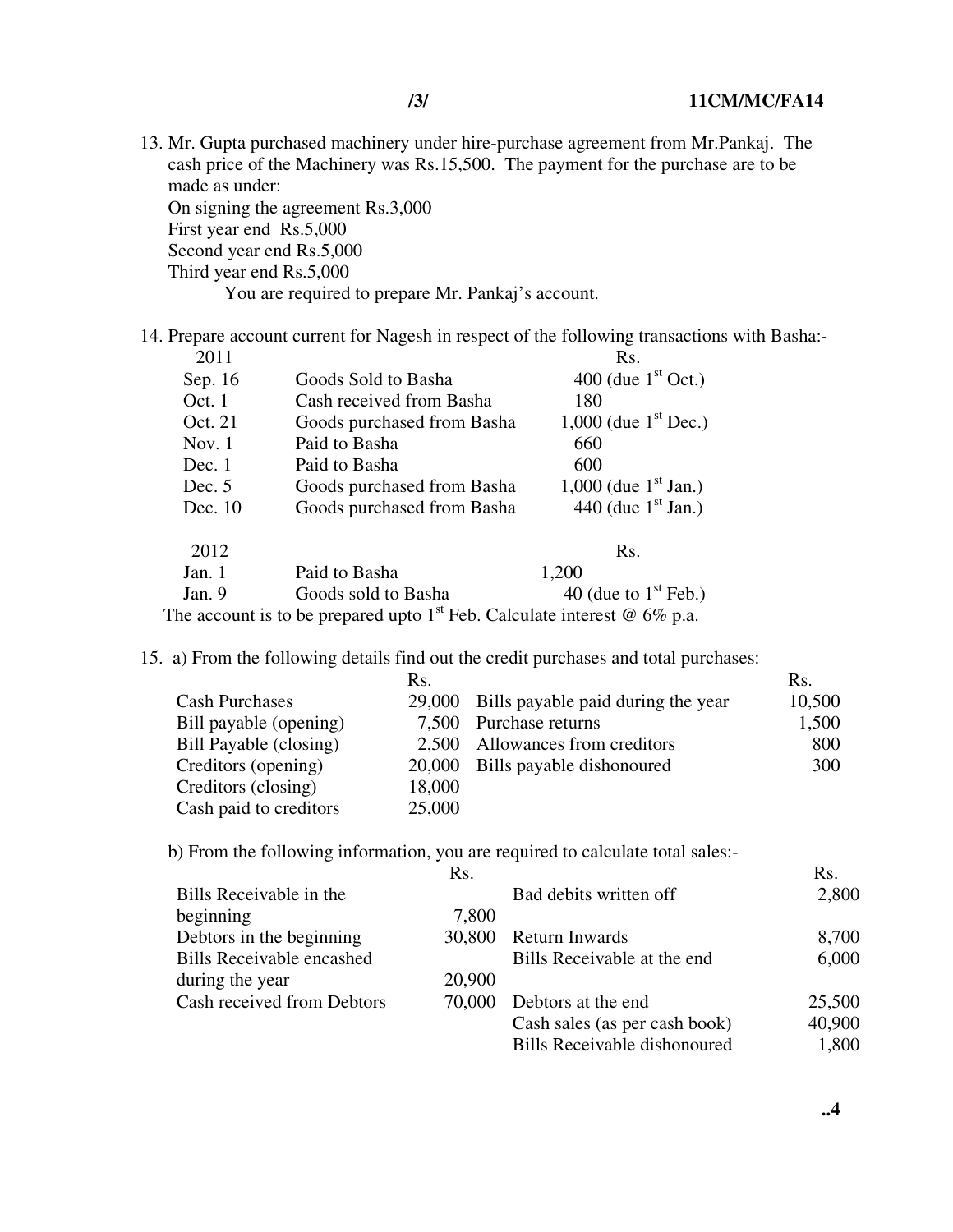13. Mr. Gupta purchased machinery under hire-purchase agreement from Mr.Pankaj. The cash price of the Machinery was Rs.15,500. The payment for the purchase are to be made as under: On signing the agreement Rs.3,000

First year end Rs.5,000 Second year end Rs.5,000

Third year end Rs.5,000

You are required to prepare Mr. Pankaj's account.

14. Prepare account current for Nagesh in respect of the following transactions with Basha:-<br>2011

| 2011     |                                                                                             | Rs.                              |
|----------|---------------------------------------------------------------------------------------------|----------------------------------|
| Sep. 16  | Goods Sold to Basha                                                                         | 400 (due $1st$ Oct.)             |
| Oct. 1   | Cash received from Basha                                                                    | 180                              |
| Oct. 21  | Goods purchased from Basha                                                                  | 1,000 (due $1^{\text{st}}$ Dec.) |
| Nov. $1$ | Paid to Basha                                                                               | 660                              |
| Dec.1    | Paid to Basha                                                                               | 600                              |
| Dec. $5$ | Goods purchased from Basha                                                                  | 1,000 (due $1^{\rm st}$ Jan.)    |
| Dec. 10  | Goods purchased from Basha                                                                  | 440 (due $1st$ Jan.)             |
| 2012     |                                                                                             | R <sub>S</sub> .                 |
| Jan. 1   | Paid to Basha                                                                               | 1,200                            |
| Jan. 9   | Goods sold to Basha                                                                         | 40 (due to $1st$ Feb.)           |
|          | The account is to be prepared upto 1 <sup>st</sup> Feb. Calculate interest $\omega$ 6% p.a. |                                  |

15. a) From the following details find out the credit purchases and total purchases:

|                        | Rs.    |                                           | Rs.    |
|------------------------|--------|-------------------------------------------|--------|
| <b>Cash Purchases</b>  |        | 29,000 Bills payable paid during the year | 10,500 |
| Bill payable (opening) |        | 7,500 Purchase returns                    | 1,500  |
| Bill Payable (closing) |        | 2,500 Allowances from creditors           | 800    |
| Creditors (opening)    |        | 20,000 Bills payable dishonoured          | 300    |
| Creditors (closing)    | 18,000 |                                           |        |
| Cash paid to creditors | 25,000 |                                           |        |

b) From the following information, you are required to calculate total sales:-

|                                  | Rs.    |                                     | Rs.    |
|----------------------------------|--------|-------------------------------------|--------|
| Bills Receivable in the          |        | Bad debits written off              | 2,800  |
| beginning                        | 7,800  |                                     |        |
| Debtors in the beginning         | 30,800 | Return Inwards                      | 8,700  |
| <b>Bills Receivable encashed</b> |        | Bills Receivable at the end         | 6,000  |
| during the year                  | 20,900 |                                     |        |
| Cash received from Debtors       | 70,000 | Debtors at the end                  | 25,500 |
|                                  |        | Cash sales (as per cash book)       | 40,900 |
|                                  |        | <b>Bills Receivable dishonoured</b> | 1,800  |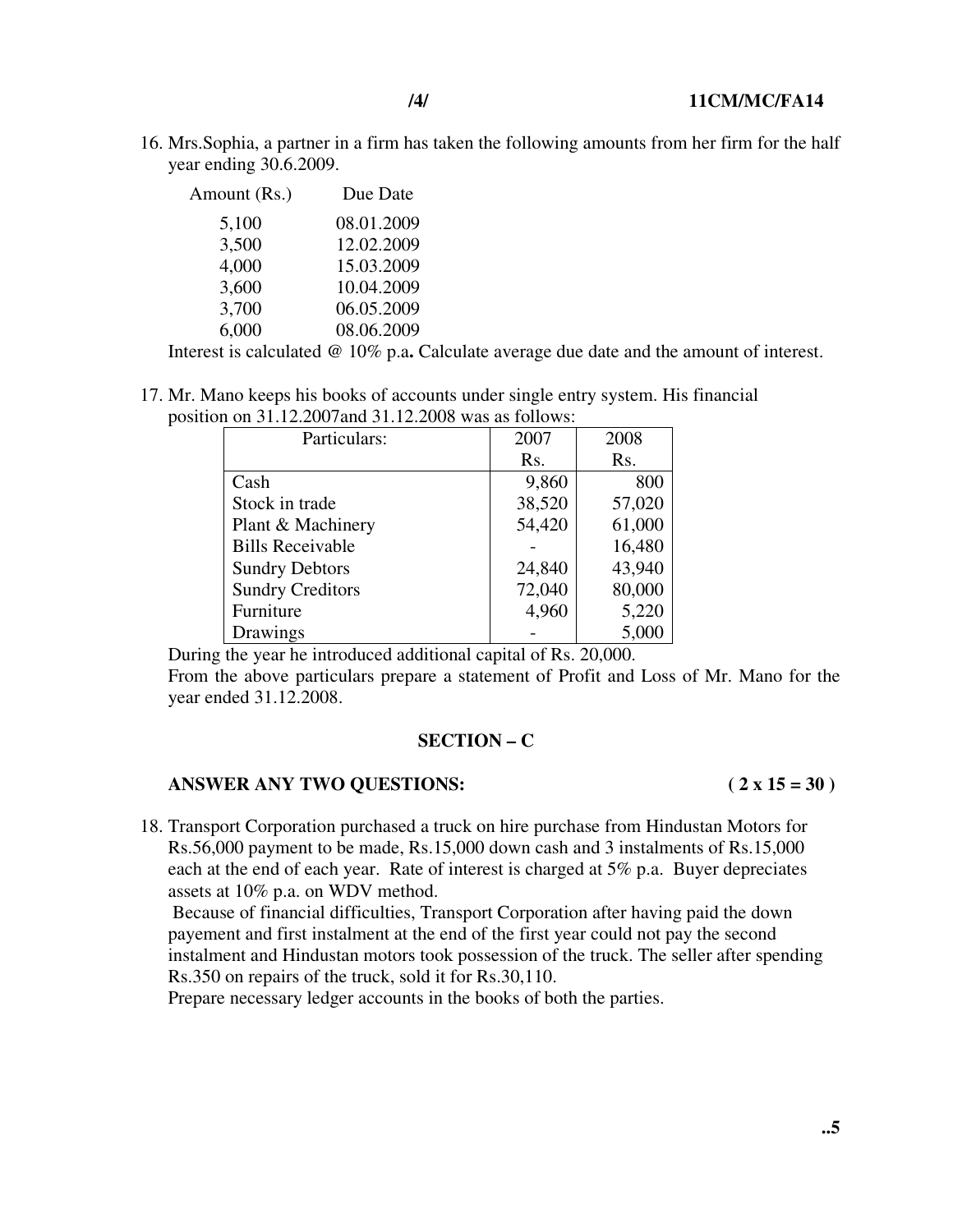16. Mrs.Sophia, a partner in a firm has taken the following amounts from her firm for the half year ending 30.6.2009.

| Amount (Rs.) | Due Date   |
|--------------|------------|
| 5,100        | 08.01.2009 |
| 3,500        | 12.02.2009 |
| 4,000        | 15.03.2009 |
| 3,600        | 10.04.2009 |
| 3,700        | 06.05.2009 |
| 6,000        | 08.06.2009 |

Interest is calculated @ 10% p.a**.** Calculate average due date and the amount of interest.

17. Mr. Mano keeps his books of accounts under single entry system. His financial position on 31.12.2007and 31.12.2008 was as follows:

| Particulars:            | 2007   | 2008   |
|-------------------------|--------|--------|
|                         | Rs.    | Rs.    |
| Cash                    | 9,860  | 800    |
| Stock in trade          | 38,520 | 57,020 |
| Plant & Machinery       | 54,420 | 61,000 |
| <b>Bills Receivable</b> |        | 16,480 |
| <b>Sundry Debtors</b>   | 24,840 | 43,940 |
| <b>Sundry Creditors</b> | 72,040 | 80,000 |
| Furniture               | 4,960  | 5,220  |
| Drawings                |        | 5,000  |

During the year he introduced additional capital of Rs. 20,000.

From the above particulars prepare a statement of Profit and Loss of Mr. Mano for the year ended 31.12.2008.

### **SECTION – C**

## **ANSWER ANY TWO QUESTIONS: ( 2 x 15 = 30 )**

18. Transport Corporation purchased a truck on hire purchase from Hindustan Motors for Rs.56,000 payment to be made, Rs.15,000 down cash and 3 instalments of Rs.15,000 each at the end of each year. Rate of interest is charged at 5% p.a. Buyer depreciates assets at 10% p.a. on WDV method.

 Because of financial difficulties, Transport Corporation after having paid the down payement and first instalment at the end of the first year could not pay the second instalment and Hindustan motors took possession of the truck. The seller after spending Rs.350 on repairs of the truck, sold it for Rs.30,110.

Prepare necessary ledger accounts in the books of both the parties.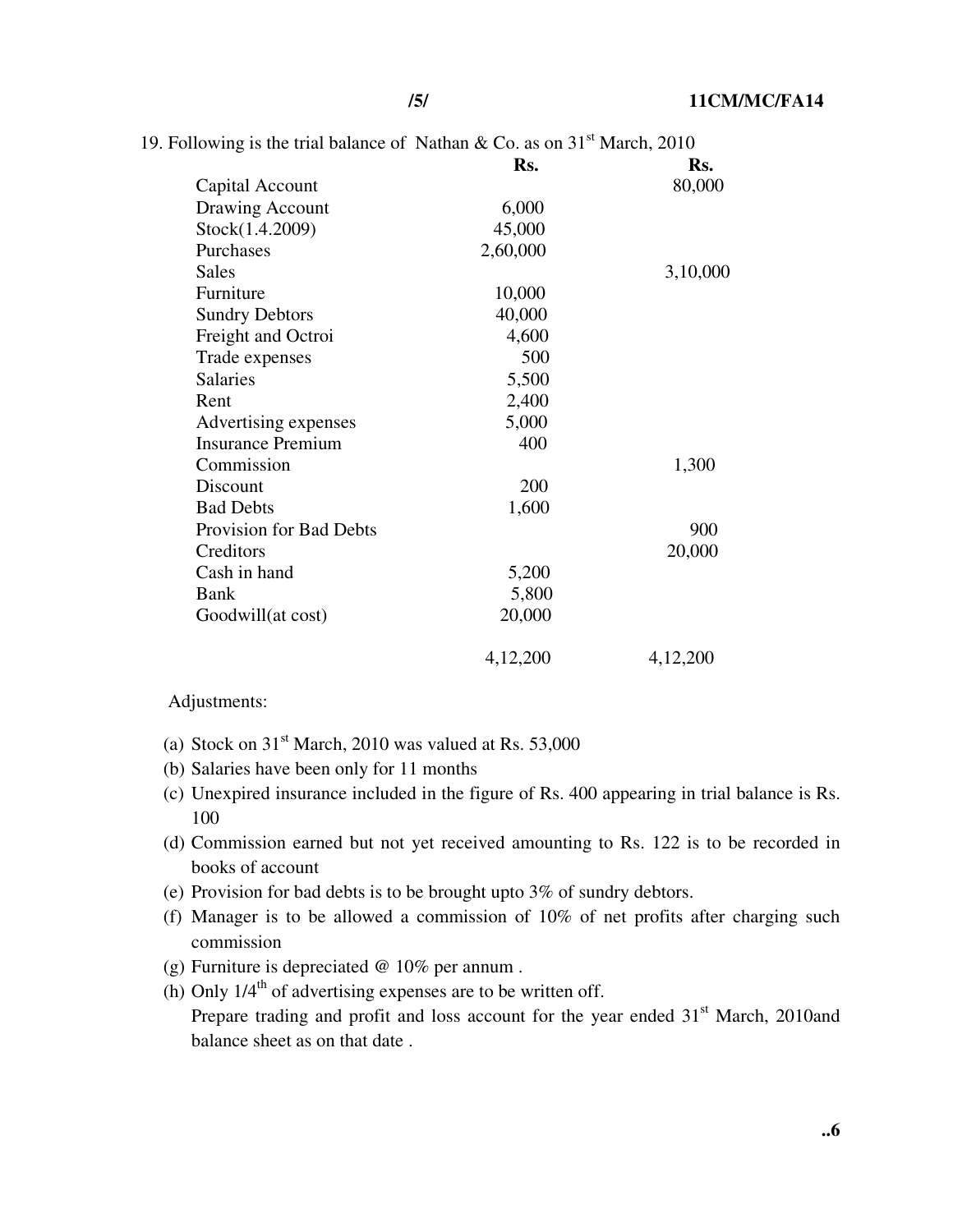|  | 19. Following is the trial balance of Nathan & Co. as on $31st$ March, 2010 |  |  |  |  |  |  |  |  |  |  |  |  |
|--|-----------------------------------------------------------------------------|--|--|--|--|--|--|--|--|--|--|--|--|
|--|-----------------------------------------------------------------------------|--|--|--|--|--|--|--|--|--|--|--|--|

|                          | Rs.      | Rs.      |
|--------------------------|----------|----------|
| Capital Account          |          | 80,000   |
| Drawing Account          | 6,000    |          |
| Stock(1.4.2009)          | 45,000   |          |
| Purchases                | 2,60,000 |          |
| <b>Sales</b>             |          | 3,10,000 |
| Furniture                | 10,000   |          |
| <b>Sundry Debtors</b>    | 40,000   |          |
| Freight and Octroi       | 4,600    |          |
| Trade expenses           | 500      |          |
| <b>Salaries</b>          | 5,500    |          |
| Rent                     | 2,400    |          |
| Advertising expenses     | 5,000    |          |
| <b>Insurance Premium</b> | 400      |          |
| Commission               |          | 1,300    |
| Discount                 | 200      |          |
| <b>Bad Debts</b>         | 1,600    |          |
| Provision for Bad Debts  |          | 900      |
| Creditors                |          | 20,000   |
| Cash in hand             | 5,200    |          |
| <b>Bank</b>              | 5,800    |          |
| Goodwill(at cost)        | 20,000   |          |
|                          | 4,12,200 | 4,12,200 |

## Adjustments:

- (a) Stock on  $31<sup>st</sup>$  March, 2010 was valued at Rs. 53,000
- (b) Salaries have been only for 11 months
- (c) Unexpired insurance included in the figure of Rs. 400 appearing in trial balance is Rs. 100
- (d) Commission earned but not yet received amounting to Rs. 122 is to be recorded in books of account
- (e) Provision for bad debts is to be brought upto 3% of sundry debtors.
- (f) Manager is to be allowed a commission of 10% of net profits after charging such commission
- (g) Furniture is depreciated @ 10% per annum .
- (h) Only  $1/4<sup>th</sup>$  of advertising expenses are to be written off. Prepare trading and profit and loss account for the year ended  $31<sup>st</sup>$  March, 2010and balance sheet as on that date .